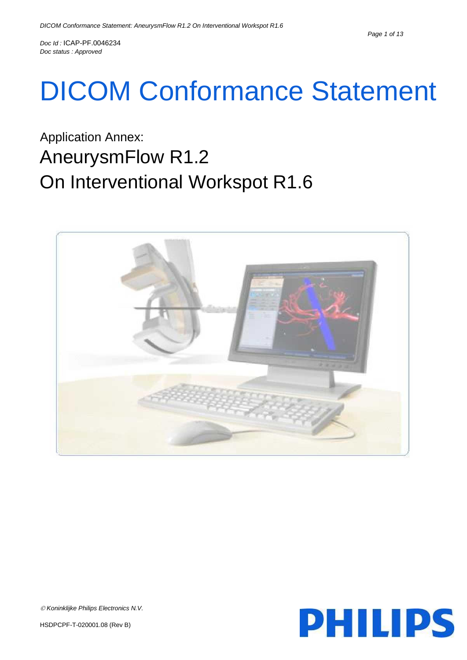# DICOM Conformance Statement

## Application Annex: AneurysmFlow R1.2 On Interventional Workspot R1.6





*Koninklijke Philips Electronics N.V.*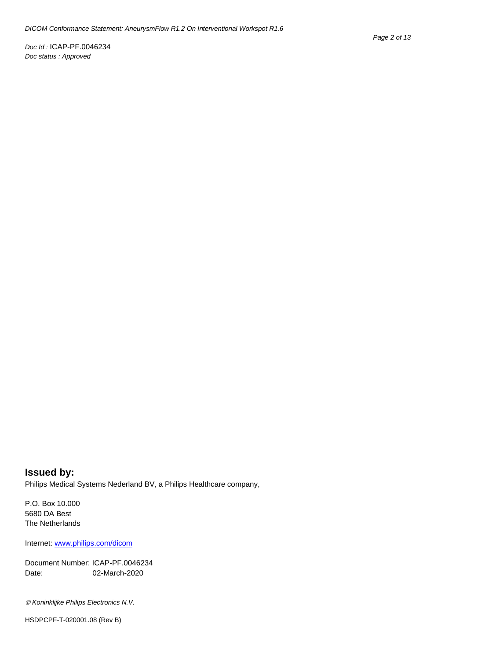#### **Issued by:** Philips Medical Systems Nederland BV, a Philips Healthcare company,

P.O. Box 10.000 5680 DA Best The Netherlands

Internet[: www.philips.com/dicom](http://www.philips.com/dicom)

Document Number: ICAP-PF.0046234 Date: 02-March-2020

*Koninklijke Philips Electronics N.V.*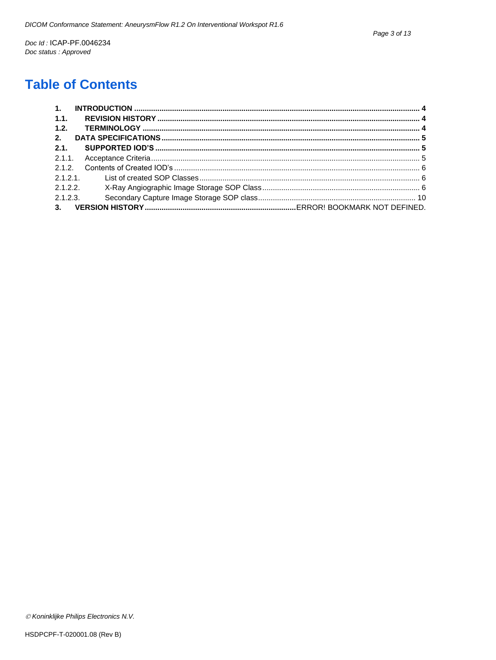## **Table of Contents**

| 1.1. |          |  |
|------|----------|--|
| 1.2. |          |  |
| 2.   |          |  |
| 2.1. |          |  |
|      |          |  |
|      |          |  |
|      |          |  |
|      |          |  |
|      | 2.1.2.3. |  |
|      |          |  |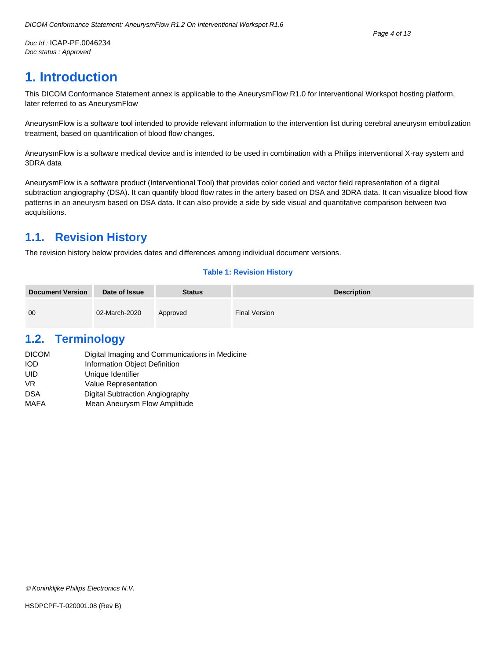## <span id="page-3-0"></span>**1. Introduction**

This DICOM Conformance Statement annex is applicable to the AneurysmFlow R1.0 for Interventional Workspot hosting platform, later referred to as AneurysmFlow

AneurysmFlow is a software tool intended to provide relevant information to the intervention list during cerebral aneurysm embolization treatment, based on quantification of blood flow changes.

AneurysmFlow is a software medical device and is intended to be used in combination with a Philips interventional X-ray system and 3DRA data

AneurysmFlow is a software product (Interventional Tool) that provides color coded and vector field representation of a digital subtraction angiography (DSA). It can quantify blood flow rates in the artery based on DSA and 3DRA data. It can visualize blood flow patterns in an aneurysm based on DSA data. It can also provide a side by side visual and quantitative comparison between two acquisitions.

## <span id="page-3-1"></span>**1.1. Revision History**

The revision history below provides dates and differences among individual document versions.

#### **Table 1: Revision History**

| <b>Document Version</b> | Date of Issue | <b>Status</b> | <b>Description</b>   |
|-------------------------|---------------|---------------|----------------------|
| 00                      | 02-March-2020 | Approved      | <b>Final Version</b> |

## <span id="page-3-2"></span>**1.2. Terminology**

| <b>DICOM</b> | Digital Imaging and Communications in Medicine |
|--------------|------------------------------------------------|
| <b>IOD</b>   | Information Object Definition                  |
| UID          | Unique Identifier                              |
| VR.          | <b>Value Representation</b>                    |
| DSA          | Digital Subtraction Angiography                |
| <b>MAFA</b>  | Mean Aneurysm Flow Amplitude                   |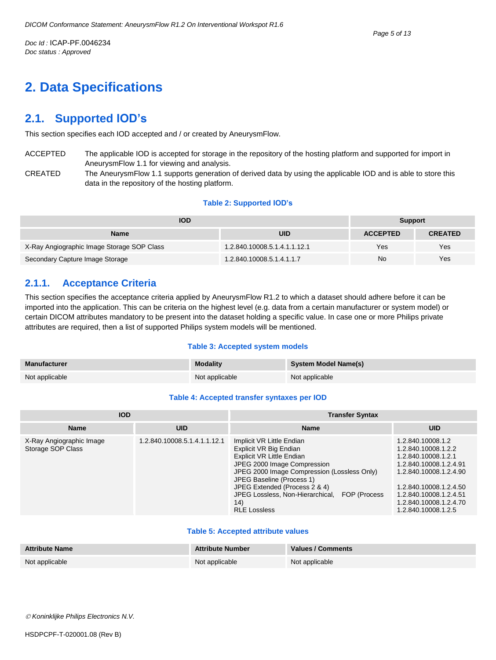## <span id="page-4-0"></span>**2. Data Specifications**

### <span id="page-4-1"></span>**2.1. Supported IOD's**

This section specifies each IOD accepted and / or created by AneurysmFlow.

- ACCEPTED The applicable IOD is accepted for storage in the repository of the hosting platform and supported for import in AneurysmFlow 1.1 for viewing and analysis.
- CREATED The AneurysmFlow 1.1 supports generation of derived data by using the applicable IOD and is able to store this data in the repository of the hosting platform.

#### **Table 2: Supported IOD's**

| <b>IOD</b>                                 | <b>Support</b>               |                 |                |
|--------------------------------------------|------------------------------|-----------------|----------------|
| Name                                       | UID                          | <b>ACCEPTED</b> | <b>CREATED</b> |
| X-Ray Angiographic Image Storage SOP Class | 1.2.840.10008.5.1.4.1.1.12.1 | Yes             | Yes            |
| Secondary Capture Image Storage            | 1.2.840.10008.5.1.4.1.1.7    | No              | Yes            |

#### <span id="page-4-2"></span>**2.1.1. Acceptance Criteria**

This section specifies the acceptance criteria applied by AneurysmFlow R1.2 to which a dataset should adhere before it can be imported into the application. This can be criteria on the highest level (e.g. data from a certain manufacturer or system model) or certain DICOM attributes mandatory to be present into the dataset holding a specific value. In case one or more Philips private attributes are required, then a list of supported Philips system models will be mentioned.

#### **Table 3: Accepted system models**

| Manufacturer   | <b>Modality</b> | <b>System Model Name(s)</b> |
|----------------|-----------------|-----------------------------|
| Not applicable | Not applicable  | Not applicable              |

#### **Table 4: Accepted transfer syntaxes per IOD**

| <b>IOD</b>                                    |                              | <b>Transfer Syntax</b>                                                                                                                                                                                                                                                                                          |                                                                                                                                                                                                                          |  |
|-----------------------------------------------|------------------------------|-----------------------------------------------------------------------------------------------------------------------------------------------------------------------------------------------------------------------------------------------------------------------------------------------------------------|--------------------------------------------------------------------------------------------------------------------------------------------------------------------------------------------------------------------------|--|
| <b>Name</b><br><b>UID</b>                     |                              | <b>Name</b>                                                                                                                                                                                                                                                                                                     | <b>UID</b>                                                                                                                                                                                                               |  |
| X-Ray Angiographic Image<br>Storage SOP Class | 1.2.840.10008.5.1.4.1.1.12.1 | Implicit VR Little Endian<br>Explicit VR Big Endian<br>Explicit VR Little Endian<br>JPEG 2000 Image Compression<br>JPEG 2000 Image Compression (Lossless Only)<br>JPEG Baseline (Process 1)<br>JPEG Extended (Process 2 & 4)<br>JPEG Lossless, Non-Hierarchical,<br>FOP (Process<br>(14)<br><b>RLE Lossless</b> | 1.2.840.10008.1.2<br>1.2.840.10008.1.2.2<br>1.2.840.10008.1.2.1<br>1.2.840.10008.1.2.4.91<br>1.2.840.10008.1.2.4.90<br>1.2.840.10008.1.2.4.50<br>1.2.840.10008.1.2.4.51<br>1.2.840.10008.1.2.4.70<br>1.2.840.10008.1.2.5 |  |

#### **Table 5: Accepted attribute values**

| <b>Attribute Name</b> | <b>Attribute Number</b> | Values / Comments |
|-----------------------|-------------------------|-------------------|
| Not applicable        | Not applicable          | Not applicable    |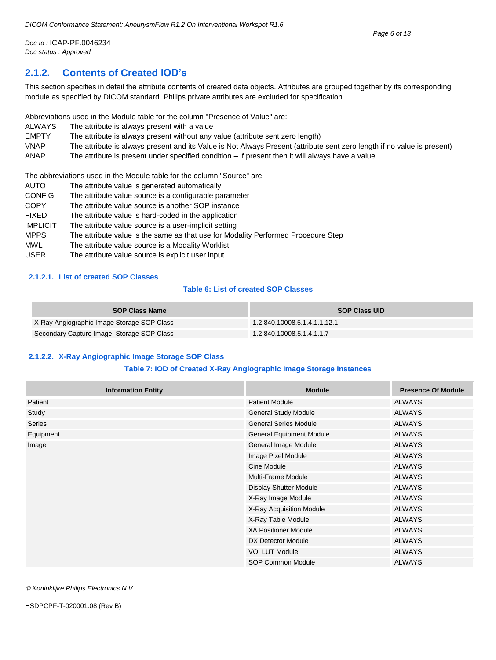#### <span id="page-5-0"></span>**2.1.2. Contents of Created IOD's**

This section specifies in detail the attribute contents of created data objects. Attributes are grouped together by its corresponding module as specified by DICOM standard. Philips private attributes are excluded for specification.

Abbreviations used in the Module table for the column "Presence of Value" are:

ALWAYS The attribute is always present with a value

EMPTY The attribute is always present without any value (attribute sent zero length)

- VNAP The attribute is always present and its Value is Not Always Present (attribute sent zero length if no value is present)
- ANAP The attribute is present under specified condition if present then it will always have a value

The abbreviations used in the Module table for the column "Source" are:

- AUTO The attribute value is generated automatically CONFIG The attribute value source is a configurable parameter COPY The attribute value source is another SOP instance FIXED The attribute value is hard-coded in the application IMPLICIT The attribute value source is a user-implicit setting MPPS The attribute value is the same as that use for Modality Performed Procedure Step
- MWL The attribute value source is a Modality Worklist
- USER The attribute value source is explicit user input

#### <span id="page-5-1"></span>**2.1.2.1. List of created SOP Classes**

#### **Table 6: List of created SOP Classes**

| <b>SOP Class Name</b>                      | <b>SOP Class UID</b>         |
|--------------------------------------------|------------------------------|
| X-Ray Angiographic Image Storage SOP Class | 1.2.840.10008.5.1.4.1.1.12.1 |
| Secondary Capture Image Storage SOP Class  | 1.2.840.10008.5.1.4.1.1.7    |

#### <span id="page-5-2"></span>**2.1.2.2. X-Ray Angiographic Image Storage SOP Class**

#### **Table 7: IOD of Created X-Ray Angiographic Image Storage Instances**

| <b>Information Entity</b> | <b>Module</b>                   | <b>Presence Of Module</b> |
|---------------------------|---------------------------------|---------------------------|
| Patient                   | <b>Patient Module</b>           | <b>ALWAYS</b>             |
| Study                     | <b>General Study Module</b>     | <b>ALWAYS</b>             |
| <b>Series</b>             | <b>General Series Module</b>    | <b>ALWAYS</b>             |
| Equipment                 | <b>General Equipment Module</b> | <b>ALWAYS</b>             |
| Image                     | General Image Module            | <b>ALWAYS</b>             |
|                           | Image Pixel Module              | <b>ALWAYS</b>             |
|                           | Cine Module                     | <b>ALWAYS</b>             |
|                           | Multi-Frame Module              | <b>ALWAYS</b>             |
|                           | Display Shutter Module          | <b>ALWAYS</b>             |
|                           | X-Ray Image Module              | <b>ALWAYS</b>             |
|                           | X-Ray Acquisition Module        | <b>ALWAYS</b>             |
|                           | X-Ray Table Module              | <b>ALWAYS</b>             |
|                           | <b>XA Positioner Module</b>     | <b>ALWAYS</b>             |
|                           | DX Detector Module              | <b>ALWAYS</b>             |
|                           | <b>VOI LUT Module</b>           | <b>ALWAYS</b>             |
|                           | SOP Common Module               | <b>ALWAYS</b>             |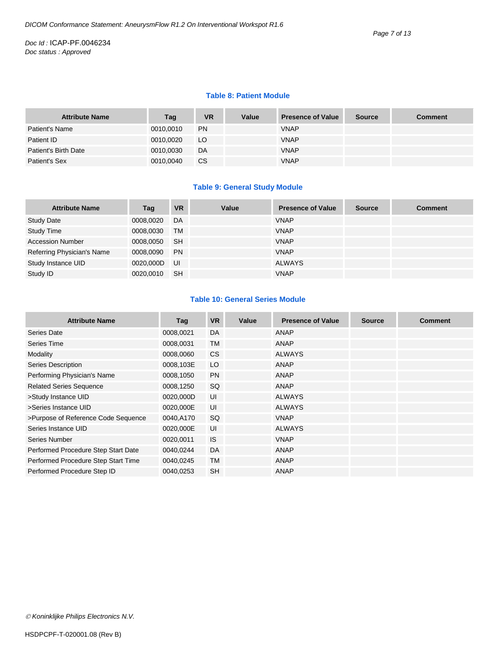#### **Table 8: Patient Module**

| <b>Attribute Name</b> | Tag       | <b>VR</b> | Value | <b>Presence of Value</b> | <b>Source</b> | <b>Comment</b> |
|-----------------------|-----------|-----------|-------|--------------------------|---------------|----------------|
| Patient's Name        | 0010,0010 | <b>PN</b> |       | <b>VNAP</b>              |               |                |
| Patient ID            | 0010,0020 | LO.       |       | <b>VNAP</b>              |               |                |
| Patient's Birth Date  | 0010,0030 | DA        |       | <b>VNAP</b>              |               |                |
| Patient's Sex         | 0010,0040 | СS        |       | <b>VNAP</b>              |               |                |

#### **Table 9: General Study Module**

| <b>Attribute Name</b>      | Tag       | <b>VR</b> | Value | <b>Presence of Value</b> | <b>Source</b> | <b>Comment</b> |
|----------------------------|-----------|-----------|-------|--------------------------|---------------|----------------|
| <b>Study Date</b>          | 0008,0020 | DA        |       | <b>VNAP</b>              |               |                |
| <b>Study Time</b>          | 0008,0030 | <b>TM</b> |       | <b>VNAP</b>              |               |                |
| <b>Accession Number</b>    | 0008,0050 | <b>SH</b> |       | <b>VNAP</b>              |               |                |
| Referring Physician's Name | 0008,0090 | <b>PN</b> |       | <b>VNAP</b>              |               |                |
| Study Instance UID         | 0020,000D | UI        |       | <b>ALWAYS</b>            |               |                |
| Study ID                   | 0020,0010 | <b>SH</b> |       | <b>VNAP</b>              |               |                |

#### **Table 10: General Series Module**

| <b>Attribute Name</b>               | Tag       | <b>VR</b> | Value | <b>Presence of Value</b> | <b>Source</b> | <b>Comment</b> |
|-------------------------------------|-----------|-----------|-------|--------------------------|---------------|----------------|
| Series Date                         | 0008,0021 | DA        |       | ANAP                     |               |                |
| Series Time                         | 0008,0031 | <b>TM</b> |       | ANAP                     |               |                |
| Modality                            | 0008,0060 | <b>CS</b> |       | <b>ALWAYS</b>            |               |                |
| Series Description                  | 0008,103E | LO        |       | ANAP                     |               |                |
| Performing Physician's Name         | 0008,1050 | <b>PN</b> |       | ANAP                     |               |                |
| <b>Related Series Sequence</b>      | 0008,1250 | SQ        |       | ANAP                     |               |                |
| >Study Instance UID                 | 0020,000D | UI        |       | <b>ALWAYS</b>            |               |                |
| >Series Instance UID                | 0020,000E | UI        |       | <b>ALWAYS</b>            |               |                |
| >Purpose of Reference Code Sequence | 0040,A170 | SQ        |       | <b>VNAP</b>              |               |                |
| Series Instance UID                 | 0020,000E | UI        |       | <b>ALWAYS</b>            |               |                |
| Series Number                       | 0020,0011 | <b>IS</b> |       | <b>VNAP</b>              |               |                |
| Performed Procedure Step Start Date | 0040,0244 | DA        |       | ANAP                     |               |                |
| Performed Procedure Step Start Time | 0040,0245 | <b>TM</b> |       | ANAP                     |               |                |
| Performed Procedure Step ID         | 0040,0253 | <b>SH</b> |       | <b>ANAP</b>              |               |                |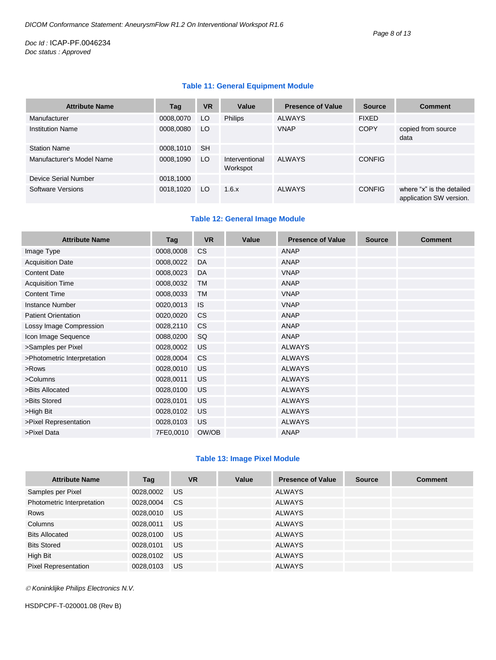#### **Table 11: General Equipment Module**

| <b>Attribute Name</b>     | Tag       | <b>VR</b> | Value                      | <b>Presence of Value</b> | <b>Source</b> | <b>Comment</b>                                       |
|---------------------------|-----------|-----------|----------------------------|--------------------------|---------------|------------------------------------------------------|
| Manufacturer              | 0008,0070 | LO        | <b>Philips</b>             | <b>ALWAYS</b>            | <b>FIXED</b>  |                                                      |
| <b>Institution Name</b>   | 0008,0080 | LO        |                            | <b>VNAP</b>              | <b>COPY</b>   | copied from source<br>data                           |
| <b>Station Name</b>       | 0008,1010 | <b>SH</b> |                            |                          |               |                                                      |
| Manufacturer's Model Name | 0008,1090 | LO        | Interventional<br>Workspot | <b>ALWAYS</b>            | <b>CONFIG</b> |                                                      |
| Device Serial Number      | 0018,1000 |           |                            |                          |               |                                                      |
| <b>Software Versions</b>  | 0018,1020 | LO        | 1.6.x                      | <b>ALWAYS</b>            | <b>CONFIG</b> | where "x" is the detailed<br>application SW version. |

#### **Table 12: General Image Module**

| <b>Attribute Name</b>       | Tag       | <b>VR</b> | Value | <b>Presence of Value</b> | <b>Source</b> | <b>Comment</b> |
|-----------------------------|-----------|-----------|-------|--------------------------|---------------|----------------|
| Image Type                  | 0008,0008 | <b>CS</b> |       | <b>ANAP</b>              |               |                |
| <b>Acquisition Date</b>     | 0008,0022 | DA        |       | <b>ANAP</b>              |               |                |
| <b>Content Date</b>         | 0008,0023 | DA        |       | <b>VNAP</b>              |               |                |
| <b>Acquisition Time</b>     | 0008,0032 | <b>TM</b> |       | <b>ANAP</b>              |               |                |
| <b>Content Time</b>         | 0008,0033 | <b>TM</b> |       | <b>VNAP</b>              |               |                |
| <b>Instance Number</b>      | 0020,0013 | <b>IS</b> |       | <b>VNAP</b>              |               |                |
| <b>Patient Orientation</b>  | 0020,0020 | <b>CS</b> |       | <b>ANAP</b>              |               |                |
| Lossy Image Compression     | 0028,2110 | <b>CS</b> |       | <b>ANAP</b>              |               |                |
| Icon Image Sequence         | 0088,0200 | SQ        |       | <b>ANAP</b>              |               |                |
| >Samples per Pixel          | 0028,0002 | <b>US</b> |       | <b>ALWAYS</b>            |               |                |
| >Photometric Interpretation | 0028,0004 | <b>CS</b> |       | <b>ALWAYS</b>            |               |                |
| >Rows                       | 0028,0010 | <b>US</b> |       | <b>ALWAYS</b>            |               |                |
| >Columns                    | 0028,0011 | <b>US</b> |       | <b>ALWAYS</b>            |               |                |
| >Bits Allocated             | 0028,0100 | <b>US</b> |       | <b>ALWAYS</b>            |               |                |
| >Bits Stored                | 0028,0101 | <b>US</b> |       | <b>ALWAYS</b>            |               |                |
| >High Bit                   | 0028,0102 | <b>US</b> |       | <b>ALWAYS</b>            |               |                |
| >Pixel Representation       | 0028,0103 | <b>US</b> |       | <b>ALWAYS</b>            |               |                |
| >Pixel Data                 | 7FE0,0010 | OW/OB     |       | <b>ANAP</b>              |               |                |

#### **Table 13: Image Pixel Module**

| <b>Attribute Name</b>       | Tag       | <b>VR</b> | Value | <b>Presence of Value</b> | <b>Source</b> | <b>Comment</b> |
|-----------------------------|-----------|-----------|-------|--------------------------|---------------|----------------|
| Samples per Pixel           | 0028,0002 | US.       |       | <b>ALWAYS</b>            |               |                |
| Photometric Interpretation  | 0028,0004 | <b>CS</b> |       | <b>ALWAYS</b>            |               |                |
| Rows                        | 0028,0010 | US        |       | <b>ALWAYS</b>            |               |                |
| Columns                     | 0028,0011 | US        |       | <b>ALWAYS</b>            |               |                |
| <b>Bits Allocated</b>       | 0028,0100 | US        |       | <b>ALWAYS</b>            |               |                |
| <b>Bits Stored</b>          | 0028,0101 | US.       |       | <b>ALWAYS</b>            |               |                |
| High Bit                    | 0028,0102 | US        |       | <b>ALWAYS</b>            |               |                |
| <b>Pixel Representation</b> | 0028,0103 | US        |       | <b>ALWAYS</b>            |               |                |

*Koninklijke Philips Electronics N.V.*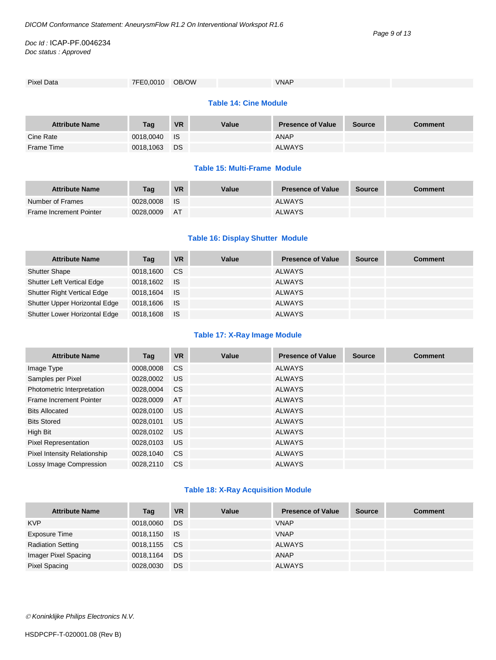Frame Time 0018,1063 DS ALWAYS

#### *Doc Id :* ICAP-PF.0046234 *Doc status : Approved*

| Pixel Data                   | 7FE0,0010 OB/OW |           |       | <b>VNAP</b>              |               |                |  |  |  |
|------------------------------|-----------------|-----------|-------|--------------------------|---------------|----------------|--|--|--|
|                              |                 |           |       |                          |               |                |  |  |  |
| <b>Table 14: Cine Module</b> |                 |           |       |                          |               |                |  |  |  |
|                              |                 |           |       |                          |               |                |  |  |  |
| <b>Attribute Name</b>        | Tag             | <b>VR</b> | Value | <b>Presence of Value</b> | <b>Source</b> | <b>Comment</b> |  |  |  |
|                              |                 |           |       |                          |               |                |  |  |  |
| Cine Rate                    | 0018,0040       | <b>IS</b> |       | ANAP                     |               |                |  |  |  |

#### **Table 15: Multi-Frame Module**

| <b>Attribute Name</b>          | Tag       | <b>VR</b> | Value | <b>Presence of Value</b> | <b>Source</b> | Comment |
|--------------------------------|-----------|-----------|-------|--------------------------|---------------|---------|
| Number of Frames               | 0028.0008 | - IS      |       | <b>ALWAYS</b>            |               |         |
| <b>Frame Increment Pointer</b> | 0028.0009 | AT        |       | <b>ALWAYS</b>            |               |         |

#### **Table 16: Display Shutter Module**

| <b>Attribute Name</b>              | Tag       | VR        | Value | <b>Presence of Value</b> | <b>Source</b> | <b>Comment</b> |
|------------------------------------|-----------|-----------|-------|--------------------------|---------------|----------------|
| <b>Shutter Shape</b>               | 0018,1600 | <b>CS</b> |       | <b>ALWAYS</b>            |               |                |
| <b>Shutter Left Vertical Edge</b>  | 0018.1602 | ⊟ IS      |       | ALWAYS                   |               |                |
| <b>Shutter Right Vertical Edge</b> | 0018.1604 | ⊟ IS      |       | ALWAYS                   |               |                |
| Shutter Upper Horizontal Edge      | 0018,1606 | ⊟ IS      |       | ALWAYS                   |               |                |
| Shutter Lower Horizontal Edge      | 0018.1608 | - IS      |       | <b>ALWAYS</b>            |               |                |

#### **Table 17: X-Ray Image Module**

| <b>Attribute Name</b>               | Tag       | <b>VR</b>     | Value | <b>Presence of Value</b> | <b>Source</b> | <b>Comment</b> |
|-------------------------------------|-----------|---------------|-------|--------------------------|---------------|----------------|
| Image Type                          | 0008,0008 | <sub>CS</sub> |       | <b>ALWAYS</b>            |               |                |
| Samples per Pixel                   | 0028,0002 | <b>US</b>     |       | <b>ALWAYS</b>            |               |                |
| Photometric Interpretation          | 0028,0004 | <b>CS</b>     |       | <b>ALWAYS</b>            |               |                |
| Frame Increment Pointer             | 0028,0009 | AT            |       | <b>ALWAYS</b>            |               |                |
| <b>Bits Allocated</b>               | 0028,0100 | <b>US</b>     |       | <b>ALWAYS</b>            |               |                |
| <b>Bits Stored</b>                  | 0028,0101 | <b>US</b>     |       | <b>ALWAYS</b>            |               |                |
| High Bit                            | 0028,0102 | <b>US</b>     |       | <b>ALWAYS</b>            |               |                |
| <b>Pixel Representation</b>         | 0028,0103 | <b>US</b>     |       | <b>ALWAYS</b>            |               |                |
| <b>Pixel Intensity Relationship</b> | 0028,1040 | <b>CS</b>     |       | <b>ALWAYS</b>            |               |                |
| Lossy Image Compression             | 0028.2110 | <sub>CS</sub> |       | <b>ALWAYS</b>            |               |                |

#### **Table 18: X-Ray Acquisition Module**

| <b>Attribute Name</b>    | Tag       | <b>VR</b>   | Value | <b>Presence of Value</b> | <b>Source</b> | <b>Comment</b> |
|--------------------------|-----------|-------------|-------|--------------------------|---------------|----------------|
| <b>KVP</b>               | 0018,0060 | DS          |       | <b>VNAP</b>              |               |                |
| Exposure Time            | 0018,1150 | <b>I</b> IS |       | <b>VNAP</b>              |               |                |
| <b>Radiation Setting</b> | 0018,1155 | CS.         |       | <b>ALWAYS</b>            |               |                |
| Imager Pixel Spacing     | 0018,1164 | DS          |       | ANAP                     |               |                |
| <b>Pixel Spacing</b>     | 0028,0030 | DS          |       | <b>ALWAYS</b>            |               |                |

*Koninklijke Philips Electronics N.V.*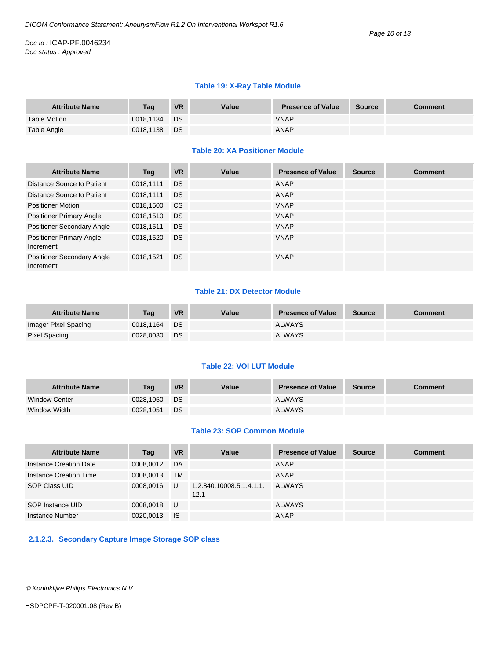#### **Table 19: X-Ray Table Module**

| <b>Attribute Name</b> | Tag       | <b>VR</b> | Value | <b>Presence of Value</b> | <b>Source</b> | <b>Comment</b> |
|-----------------------|-----------|-----------|-------|--------------------------|---------------|----------------|
| Table Motion          | 0018.1134 | ⊟DS       |       | <b>VNAP</b>              |               |                |
| Table Angle           | 0018,1138 | <b>DS</b> |       | <b>ANAP</b>              |               |                |

#### **Table 20: XA Positioner Module**

| <b>Attribute Name</b>                        | Tag       | <b>VR</b> | Value | <b>Presence of Value</b> | <b>Source</b> | <b>Comment</b> |
|----------------------------------------------|-----------|-----------|-------|--------------------------|---------------|----------------|
| Distance Source to Patient                   | 0018.1111 | DS.       |       | ANAP                     |               |                |
| Distance Source to Patient                   | 0018,1111 | <b>DS</b> |       | ANAP                     |               |                |
| <b>Positioner Motion</b>                     | 0018,1500 | CS.       |       | <b>VNAP</b>              |               |                |
| <b>Positioner Primary Angle</b>              | 0018,1510 | <b>DS</b> |       | <b>VNAP</b>              |               |                |
| Positioner Secondary Angle                   | 0018.1511 | <b>DS</b> |       | <b>VNAP</b>              |               |                |
| <b>Positioner Primary Angle</b><br>Increment | 0018,1520 | <b>DS</b> |       | <b>VNAP</b>              |               |                |
| Positioner Secondary Angle<br>Increment      | 0018,1521 | <b>DS</b> |       | <b>VNAP</b>              |               |                |

#### **Table 21: DX Detector Module**

| <b>Attribute Name</b> | <b>Tag</b> | <b>VR</b> | Value | <b>Presence of Value</b> | <b>Source</b> | <b>Comment</b> |
|-----------------------|------------|-----------|-------|--------------------------|---------------|----------------|
| Imager Pixel Spacing  | 0018.1164  | <b>DS</b> |       | <b>ALWAYS</b>            |               |                |
| Pixel Spacing         | 0028.0030  | DS.       |       | <b>ALWAYS</b>            |               |                |

#### **Table 22: VOI LUT Module**

| <b>Attribute Name</b> | Taq       | <b>VR</b> | Value | <b>Presence of Value</b> | <b>Source</b> | Comment |
|-----------------------|-----------|-----------|-------|--------------------------|---------------|---------|
| <b>Window Center</b>  | 0028.1050 | DS.       |       | <b>ALWAYS</b>            |               |         |
| Window Width          | 0028,1051 | DS        |       | <b>ALWAYS</b>            |               |         |

#### **Table 23: SOP Common Module**

| <b>Attribute Name</b>  | Tag       | <b>VR</b> | Value                            | <b>Presence of Value</b> | <b>Source</b> | <b>Comment</b> |
|------------------------|-----------|-----------|----------------------------------|--------------------------|---------------|----------------|
| Instance Creation Date | 0008,0012 | DA        |                                  | ANAP                     |               |                |
| Instance Creation Time | 0008,0013 | TМ        |                                  | ANAP                     |               |                |
| SOP Class UID          | 0008.0016 | UI        | 1.2.840.10008.5.1.4.1.1.<br>12.1 | ALWAYS                   |               |                |
| SOP Instance UID       | 0008,0018 | UI        |                                  | ALWAYS                   |               |                |
| Instance Number        | 0020.0013 | <b>IS</b> |                                  | <b>ANAP</b>              |               |                |

#### <span id="page-9-0"></span>**2.1.2.3. Secondary Capture Image Storage SOP class**

*Koninklijke Philips Electronics N.V.*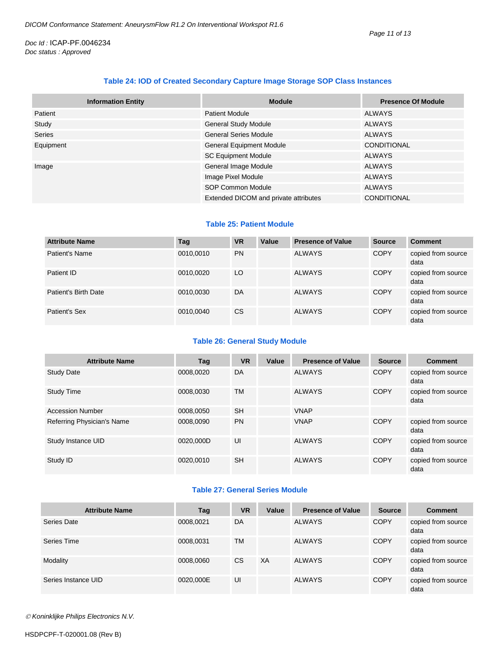#### **Table 24: IOD of Created Secondary Capture Image Storage SOP Class Instances**

| <b>Information Entity</b> | <b>Module</b>                         | <b>Presence Of Module</b> |
|---------------------------|---------------------------------------|---------------------------|
| Patient                   | <b>Patient Module</b>                 | <b>ALWAYS</b>             |
| Study                     | <b>General Study Module</b>           | <b>ALWAYS</b>             |
| Series                    | <b>General Series Module</b>          | <b>ALWAYS</b>             |
| Equipment                 | <b>General Equipment Module</b>       | <b>CONDITIONAL</b>        |
|                           | <b>SC Equipment Module</b>            | <b>ALWAYS</b>             |
| Image                     | General Image Module                  | <b>ALWAYS</b>             |
|                           | Image Pixel Module                    | <b>ALWAYS</b>             |
|                           | SOP Common Module                     | <b>ALWAYS</b>             |
|                           | Extended DICOM and private attributes | <b>CONDITIONAL</b>        |

#### **Table 25: Patient Module**

| <b>Attribute Name</b> | Tag       | <b>VR</b> | Value | <b>Presence of Value</b> | <b>Source</b> | <b>Comment</b>             |
|-----------------------|-----------|-----------|-------|--------------------------|---------------|----------------------------|
| Patient's Name        | 0010,0010 | <b>PN</b> |       | <b>ALWAYS</b>            | <b>COPY</b>   | copied from source<br>data |
| Patient ID            | 0010,0020 | LO        |       | <b>ALWAYS</b>            | <b>COPY</b>   | copied from source<br>data |
| Patient's Birth Date  | 0010,0030 | DA        |       | <b>ALWAYS</b>            | <b>COPY</b>   | copied from source<br>data |
| Patient's Sex         | 0010,0040 | <b>CS</b> |       | <b>ALWAYS</b>            | <b>COPY</b>   | copied from source<br>data |

#### **Table 26: General Study Module**

| <b>Attribute Name</b>      | Tag       | <b>VR</b> | Value | <b>Presence of Value</b> | <b>Source</b> | <b>Comment</b>             |
|----------------------------|-----------|-----------|-------|--------------------------|---------------|----------------------------|
| <b>Study Date</b>          | 0008,0020 | DA        |       | <b>ALWAYS</b>            | <b>COPY</b>   | copied from source<br>data |
| Study Time                 | 0008.0030 | <b>TM</b> |       | ALWAYS                   | <b>COPY</b>   | copied from source<br>data |
| <b>Accession Number</b>    | 0008.0050 | <b>SH</b> |       | <b>VNAP</b>              |               |                            |
| Referring Physician's Name | 0008,0090 | <b>PN</b> |       | <b>VNAP</b>              | <b>COPY</b>   | copied from source<br>data |
| Study Instance UID         | 0020.000D | UI        |       | <b>ALWAYS</b>            | <b>COPY</b>   | copied from source<br>data |
| Study ID                   | 0020.0010 | <b>SH</b> |       | <b>ALWAYS</b>            | <b>COPY</b>   | copied from source<br>data |

#### **Table 27: General Series Module**

| <b>Attribute Name</b> | Tag       | <b>VR</b> | Value | <b>Presence of Value</b> | <b>Source</b> | <b>Comment</b>             |
|-----------------------|-----------|-----------|-------|--------------------------|---------------|----------------------------|
| Series Date           | 0008,0021 | DA        |       | <b>ALWAYS</b>            | <b>COPY</b>   | copied from source<br>data |
| Series Time           | 0008,0031 | <b>TM</b> |       | <b>ALWAYS</b>            | <b>COPY</b>   | copied from source<br>data |
| Modality              | 0008,0060 | <b>CS</b> | XA    | <b>ALWAYS</b>            | <b>COPY</b>   | copied from source<br>data |
| Series Instance UID   | 0020,000E | UI        |       | <b>ALWAYS</b>            | <b>COPY</b>   | copied from source<br>data |

*Koninklijke Philips Electronics N.V.*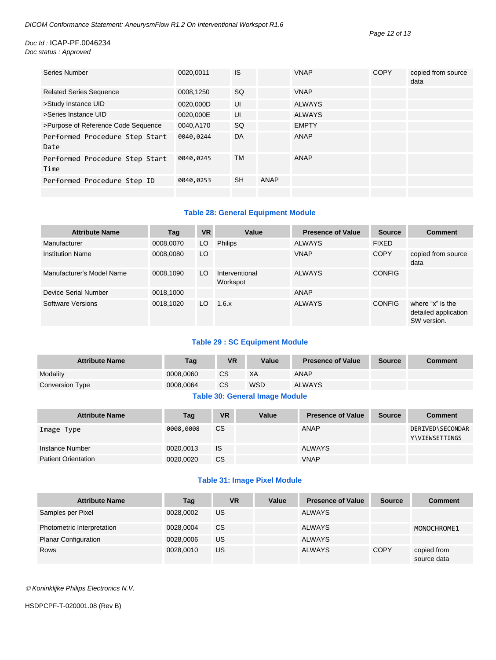| Series Number                          | 0020,0011 | <b>IS</b> |      | <b>VNAP</b>   | <b>COPY</b> | copied from source<br>data |
|----------------------------------------|-----------|-----------|------|---------------|-------------|----------------------------|
| <b>Related Series Sequence</b>         | 0008,1250 | <b>SQ</b> |      | <b>VNAP</b>   |             |                            |
| >Study Instance UID                    | 0020,000D | UI        |      | <b>ALWAYS</b> |             |                            |
| >Series Instance UID                   | 0020,000E | UI        |      | <b>ALWAYS</b> |             |                            |
| >Purpose of Reference Code Sequence    | 0040,A170 | <b>SQ</b> |      | <b>EMPTY</b>  |             |                            |
| Performed Procedure Step Start<br>Date | 0040,0244 | DA        |      | ANAP          |             |                            |
| Performed Procedure Step Start<br>Time | 0040,0245 | <b>TM</b> |      | ANAP          |             |                            |
| Performed Procedure Step ID            | 0040,0253 | <b>SH</b> | ANAP |               |             |                            |
|                                        |           |           |      |               |             |                            |

#### **Table 28: General Equipment Module**

| <b>Attribute Name</b>     | Tag       | <b>VR</b> | Value                      | <b>Presence of Value</b> | <b>Source</b> | <b>Comment</b>                                          |
|---------------------------|-----------|-----------|----------------------------|--------------------------|---------------|---------------------------------------------------------|
| Manufacturer              | 0008,0070 | LO.       | <b>Philips</b>             | <b>ALWAYS</b>            | <b>FIXED</b>  |                                                         |
| <b>Institution Name</b>   | 0008,0080 | LO        |                            | <b>VNAP</b>              | <b>COPY</b>   | copied from source<br>data                              |
| Manufacturer's Model Name | 0008.1090 | LO.       | Interventional<br>Workspot | <b>ALWAYS</b>            | <b>CONFIG</b> |                                                         |
| Device Serial Number      | 0018,1000 |           |                            | ANAP                     |               |                                                         |
| Software Versions         | 0018,1020 | LO.       | 1.6.x                      | <b>ALWAYS</b>            | <b>CONFIG</b> | where "x" is the<br>detailed application<br>SW version. |

#### **Table 29 : SC Equipment Module**

| <b>Attribute Name</b> | Tag       | VR            | Value                                 | <b>Presence of Value</b> | <b>Source</b> | <b>Comment</b> |
|-----------------------|-----------|---------------|---------------------------------------|--------------------------|---------------|----------------|
| Modality              | 0008.0060 | <sub>CS</sub> | XA                                    | <b>ANAP</b>              |               |                |
| Conversion Type       | 0008.0064 | <sub>CS</sub> | <b>WSD</b>                            | <b>ALWAYS</b>            |               |                |
|                       |           |               | <b>Table 30: General Image Module</b> |                          |               |                |

| <b>Attribute Name</b>      | Tag       | <b>VR</b> | Value | <b>Presence of Value</b> | <b>Source</b> | <b>Comment</b>                            |
|----------------------------|-----------|-----------|-------|--------------------------|---------------|-------------------------------------------|
| Image Type                 | 0008,0008 | <b>CS</b> |       | <b>ANAP</b>              |               | DERIVED\SECONDAR<br><b>Y\VIEWSETTINGS</b> |
| Instance Number            | 0020,0013 | IS        |       | <b>ALWAYS</b>            |               |                                           |
| <b>Patient Orientation</b> | 0020,0020 | CS        |       | <b>VNAP</b>              |               |                                           |

#### **Table 31: Image Pixel Module**

| <b>Attribute Name</b>       | Tag       | VR        | Value | <b>Presence of Value</b> | <b>Source</b> | <b>Comment</b>             |
|-----------------------------|-----------|-----------|-------|--------------------------|---------------|----------------------------|
| Samples per Pixel           | 0028,0002 | US        |       | <b>ALWAYS</b>            |               |                            |
| Photometric Interpretation  | 0028.0004 | <b>CS</b> |       | <b>ALWAYS</b>            |               | MONOCHROME1                |
| <b>Planar Configuration</b> | 0028,0006 | US        |       | <b>ALWAYS</b>            |               |                            |
| <b>Rows</b>                 | 0028.0010 | US        |       | <b>ALWAYS</b>            | <b>COPY</b>   | copied from<br>source data |

*Koninklijke Philips Electronics N.V.*